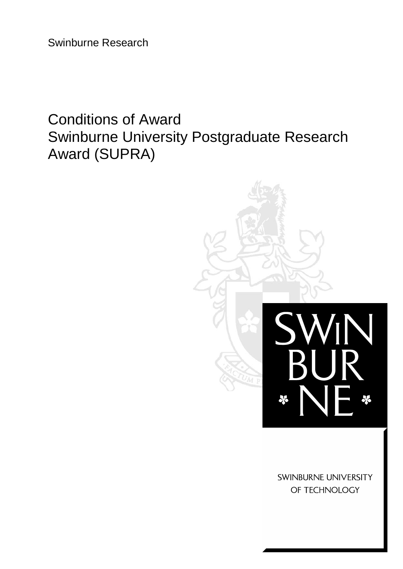Swinburne Research

# Conditions of Award Swinburne University Postgraduate Research Award (SUPRA)



SWINBURNE UNIVERSITY OF TECHNOLOGY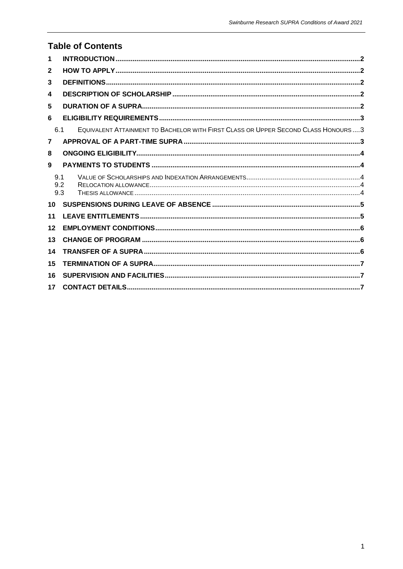| <b>Table of Contents</b> |                                                                                     |  |  |  |
|--------------------------|-------------------------------------------------------------------------------------|--|--|--|
| 1                        |                                                                                     |  |  |  |
| $\mathbf{2}$             |                                                                                     |  |  |  |
| 3                        |                                                                                     |  |  |  |
| 4                        |                                                                                     |  |  |  |
| 5                        |                                                                                     |  |  |  |
| 6                        |                                                                                     |  |  |  |
| 6.1                      | EQUIVALENT ATTAINMENT TO BACHELOR WITH FIRST CLASS OR UPPER SECOND CLASS HONOURS  3 |  |  |  |
| $\overline{\mathbf{z}}$  |                                                                                     |  |  |  |
| 8                        |                                                                                     |  |  |  |
| 9                        |                                                                                     |  |  |  |
| 9.1                      |                                                                                     |  |  |  |
| 9.2<br>9.3               |                                                                                     |  |  |  |
| 10                       |                                                                                     |  |  |  |
| 11                       |                                                                                     |  |  |  |
| 12                       |                                                                                     |  |  |  |
| 13                       |                                                                                     |  |  |  |
| 14                       |                                                                                     |  |  |  |
| 15                       |                                                                                     |  |  |  |
| 16                       |                                                                                     |  |  |  |
| 17                       |                                                                                     |  |  |  |
|                          |                                                                                     |  |  |  |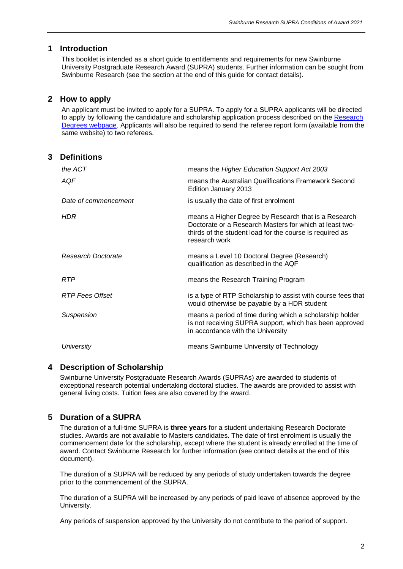# <span id="page-2-0"></span>**1 Introduction**

This booklet is intended as a short guide to entitlements and requirements for new Swinburne University Postgraduate Research Award (SUPRA) students. Further information can be sought from Swinburne Research (see the section at the end of this guide for contact details).

# <span id="page-2-1"></span>**2 How to apply**

An applicant must be invited to apply for a SUPRA. To apply for a SUPRA applicants will be directed to apply by following the candidature and scholarship application process described on the [Research](https://www.swinburne.edu.au/research/research-degrees/application-process/)  [Degrees webpage.](https://www.swinburne.edu.au/research/research-degrees/application-process/) Applicants will also be required to send the referee report form (available from the same website) to two referees.

<span id="page-2-2"></span>

| 3 | <b>Definitions</b>   |                                                                                                                                                                                              |
|---|----------------------|----------------------------------------------------------------------------------------------------------------------------------------------------------------------------------------------|
|   | the ACT              | means the Higher Education Support Act 2003                                                                                                                                                  |
|   | AQF                  | means the Australian Qualifications Framework Second<br>Edition January 2013                                                                                                                 |
|   | Date of commencement | is usually the date of first enrolment                                                                                                                                                       |
|   | <b>HDR</b>           | means a Higher Degree by Research that is a Research<br>Doctorate or a Research Masters for which at least two-<br>thirds of the student load for the course is required as<br>research work |
|   | Research Doctorate   | means a Level 10 Doctoral Degree (Research)<br>qualification as described in the AQF                                                                                                         |
|   | <b>RTP</b>           | means the Research Training Program                                                                                                                                                          |
|   | RTP Fees Offset      | is a type of RTP Scholarship to assist with course fees that<br>would otherwise be payable by a HDR student                                                                                  |
|   | Suspension           | means a period of time during which a scholarship holder<br>is not receiving SUPRA support, which has been approved<br>in accordance with the University                                     |
|   | University           | means Swinburne University of Technology                                                                                                                                                     |

# <span id="page-2-3"></span>**4 Description of Scholarship**

Swinburne University Postgraduate Research Awards (SUPRAs) are awarded to students of exceptional research potential undertaking doctoral studies. The awards are provided to assist with general living costs. Tuition fees are also covered by the award.

# <span id="page-2-4"></span>**5 Duration of a SUPRA**

The duration of a full-time SUPRA is **three years** for a student undertaking Research Doctorate studies. Awards are not available to Masters candidates. The date of first enrolment is usually the commencement date for the scholarship, except where the student is already enrolled at the time of award. Contact Swinburne Research for further information (see contact details at the end of this document).

The duration of a SUPRA will be reduced by any periods of study undertaken towards the degree prior to the commencement of the SUPRA.

The duration of a SUPRA will be increased by any periods of paid leave of absence approved by the University.

Any periods of suspension approved by the University do not contribute to the period of support.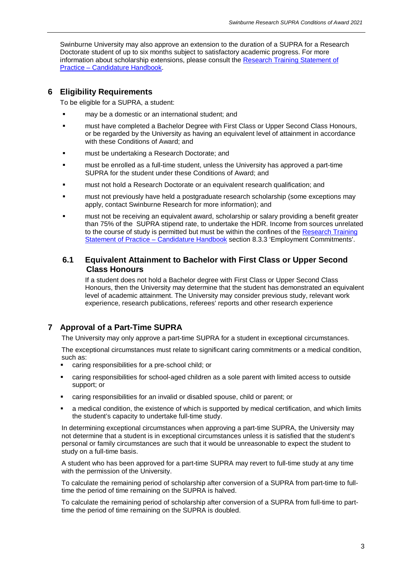Swinburne University may also approve an extension to the duration of a SUPRA for a Research Doctorate student of up to six months subject to satisfactory academic progress. For more information about scholarship extensions, please consult the [Research Training Statement of](https://www.swinburne.edu.au/intranet/research/higher-degrees/)  Practice – [Candidature Handbook.](https://www.swinburne.edu.au/intranet/research/higher-degrees/)

# <span id="page-3-0"></span>**6 Eligibility Requirements**

To be eligible for a SUPRA, a student:

- may be a domestic or an international student; and
- **EXECT** must have completed a Bachelor Degree with First Class or Upper Second Class Honours, or be regarded by the University as having an equivalent level of attainment in accordance with these Conditions of Award; and
- must be undertaking a Research Doctorate; and
- must be enrolled as a full-time student, unless the University has approved a part-time SUPRA for the student under these Conditions of Award; and
- must not hold a Research Doctorate or an equivalent research qualification; and
- must not previously have held a postgraduate research scholarship (some exceptions may apply, contact Swinburne Research for more information); and
- must not be receiving an equivalent award, scholarship or salary providing a benefit greater than 75% of the SUPRA stipend rate, to undertake the HDR. Income from sources unrelated to the course of study is permitted but must be within the confines of the Research Training [Statement of Practice –](https://www.swinburne.edu.au/intranet/research/higher-degrees/) Candidature Handbook section 8.3.3 'Employment Commitments'.

# <span id="page-3-1"></span>**6.1 Equivalent Attainment to Bachelor with First Class or Upper Second Class Honours**

If a student does not hold a Bachelor degree with First Class or Upper Second Class Honours, then the University may determine that the student has demonstrated an equivalent level of academic attainment. The University may consider previous study, relevant work experience, research publications, referees' reports and other research experience

# <span id="page-3-2"></span>**7 Approval of a Part-Time SUPRA**

The University may only approve a part-time SUPRA for a student in exceptional circumstances.

The exceptional circumstances must relate to significant caring commitments or a medical condition, such as:

- caring responsibilities for a pre-school child; or
- caring responsibilities for school-aged children as a sole parent with limited access to outside support; or
- caring responsibilities for an invalid or disabled spouse, child or parent; or
- a medical condition, the existence of which is supported by medical certification, and which limits the student's capacity to undertake full-time study.

In determining exceptional circumstances when approving a part-time SUPRA, the University may not determine that a student is in exceptional circumstances unless it is satisfied that the student's personal or family circumstances are such that it would be unreasonable to expect the student to study on a full-time basis.

A student who has been approved for a part-time SUPRA may revert to full-time study at any time with the permission of the University.

To calculate the remaining period of scholarship after conversion of a SUPRA from part-time to fulltime the period of time remaining on the SUPRA is halved.

To calculate the remaining period of scholarship after conversion of a SUPRA from full-time to parttime the period of time remaining on the SUPRA is doubled.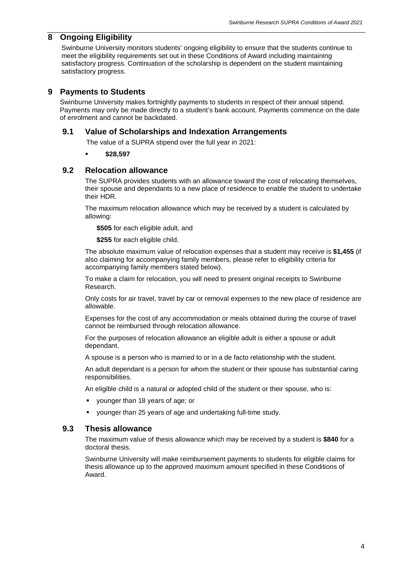# <span id="page-4-0"></span>**8 Ongoing Eligibility**

Swinburne University monitors students' ongoing eligibility to ensure that the students continue to meet the eligibility requirements set out in these Conditions of Award including maintaining satisfactory progress. Continuation of the scholarship is dependent on the student maintaining satisfactory progress.

# <span id="page-4-1"></span>**9 Payments to Students**

Swinburne University makes fortnightly payments to students in respect of their annual stipend. Payments may only be made directly to a student's bank account. Payments commence on the date of enrolment and cannot be backdated.

#### <span id="page-4-2"></span>**9.1 Value of Scholarships and Indexation Arrangements**

The value of a SUPRA stipend over the full year in 2021:

**\$28,597**

#### <span id="page-4-3"></span>**9.2 Relocation allowance**

The SUPRA provides students with an allowance toward the cost of relocating themselves, their spouse and dependants to a new place of residence to enable the student to undertake their HDR.

The maximum relocation allowance which may be received by a student is calculated by allowing:

**\$505** for each eligible adult, and

**\$255** for each eligible child.

The absolute maximum value of relocation expenses that a student may receive is **\$1,455** (if also claiming for accompanying family members, please refer to eligibility criteria for accompanying family members stated below).

To make a claim for relocation, you will need to present original receipts to Swinburne Research.

Only costs for air travel, travel by car or removal expenses to the new place of residence are allowable.

Expenses for the cost of any accommodation or meals obtained during the course of travel cannot be reimbursed through relocation allowance.

For the purposes of relocation allowance an eligible adult is either a spouse or adult dependant.

A spouse is a person who is married to or in a de facto relationship with the student.

An adult dependant is a person for whom the student or their spouse has substantial caring responsibilities.

An eligible child is a natural or adopted child of the student or their spouse, who is:

- younger than 18 years of age; or
- younger than 25 years of age and undertaking full-time study.

#### <span id="page-4-4"></span>**9.3 Thesis allowance**

The maximum value of thesis allowance which may be received by a student is **\$840** for a doctoral thesis.

Swinburne University will make reimbursement payments to students for eligible claims for thesis allowance up to the approved maximum amount specified in these Conditions of Award.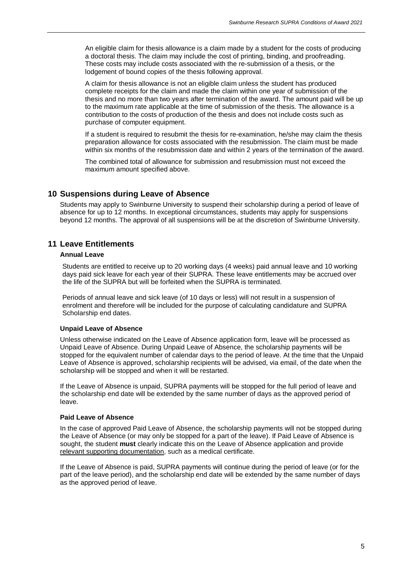An eligible claim for thesis allowance is a claim made by a student for the costs of producing a doctoral thesis. The claim may include the cost of printing, binding, and proofreading. These costs may include costs associated with the re-submission of a thesis, or the lodgement of bound copies of the thesis following approval.

A claim for thesis allowance is not an eligible claim unless the student has produced complete receipts for the claim and made the claim within one year of submission of the thesis and no more than two years after termination of the award. The amount paid will be up to the maximum rate applicable at the time of submission of the thesis. The allowance is a contribution to the costs of production of the thesis and does not include costs such as purchase of computer equipment.

If a student is required to resubmit the thesis for re-examination, he/she may claim the thesis preparation allowance for costs associated with the resubmission. The claim must be made within six months of the resubmission date and within 2 years of the termination of the award.

The combined total of allowance for submission and resubmission must not exceed the maximum amount specified above.

#### <span id="page-5-0"></span>**10 Suspensions during Leave of Absence**

Students may apply to Swinburne University to suspend their scholarship during a period of leave of absence for up to 12 months. In exceptional circumstances, students may apply for suspensions beyond 12 months. The approval of all suspensions will be at the discretion of Swinburne University.

# <span id="page-5-1"></span>**11 Leave Entitlements**

#### **Annual Leave**

Students are entitled to receive up to 20 working days (4 weeks) paid annual leave and 10 working days paid sick leave for each year of their SUPRA. These leave entitlements may be accrued over the life of the SUPRA but will be forfeited when the SUPRA is terminated.

Periods of annual leave and sick leave (of 10 days or less) will not result in a suspension of enrolment and therefore will be included for the purpose of calculating candidature and SUPRA Scholarship end dates.

#### **Unpaid Leave of Absence**

Unless otherwise indicated on the Leave of Absence application form, leave will be processed as Unpaid Leave of Absence. During Unpaid Leave of Absence, the scholarship payments will be stopped for the equivalent number of calendar days to the period of leave. At the time that the Unpaid Leave of Absence is approved, scholarship recipients will be advised, via email, of the date when the scholarship will be stopped and when it will be restarted.

If the Leave of Absence is unpaid, SUPRA payments will be stopped for the full period of leave and the scholarship end date will be extended by the same number of days as the approved period of leave.

#### **Paid Leave of Absence**

In the case of approved Paid Leave of Absence, the scholarship payments will not be stopped during the Leave of Absence (or may only be stopped for a part of the leave). If Paid Leave of Absence is sought, the student **must** clearly indicate this on the Leave of Absence application and provide relevant supporting documentation, such as a medical certificate.

If the Leave of Absence is paid, SUPRA payments will continue during the period of leave (or for the part of the leave period), and the scholarship end date will be extended by the same number of days as the approved period of leave.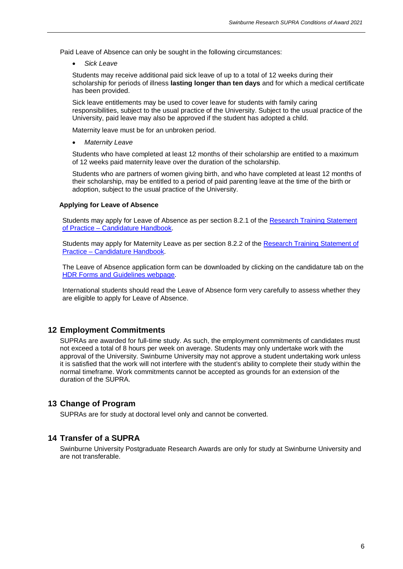Paid Leave of Absence can only be sought in the following circumstances:

• *Sick Leave*

Students may receive additional paid sick leave of up to a total of 12 weeks during their scholarship for periods of illness **lasting longer than ten days** and for which a medical certificate has been provided.

Sick leave entitlements may be used to cover leave for students with family caring responsibilities, subject to the usual practice of the University. Subject to the usual practice of the University, paid leave may also be approved if the student has adopted a child.

Maternity leave must be for an unbroken period.

• *Maternity Leave*

Students who have completed at least 12 months of their scholarship are entitled to a maximum of 12 weeks paid maternity leave over the duration of the scholarship.

Students who are partners of women giving birth, and who have completed at least 12 months of their scholarship, may be entitled to a period of paid parenting leave at the time of the birth or adoption, subject to the usual practice of the University.

#### **Applying for Leave of Absence**

Students may apply for Leave of Absence as per section 8.2.1 of the [Research Training Statement](https://www.swinburne.edu.au/intranet/research/higher-degrees/)  of Practice – [Candidature](https://www.swinburne.edu.au/intranet/research/higher-degrees/) Handbook.

Students may apply for Maternity Leave as per section 8.2.2 of the [Research Training Statement of](https://www.swinburne.edu.au/intranet/research/higher-degrees/)  Practice – [Candidature Handbook.](https://www.swinburne.edu.au/intranet/research/higher-degrees/)

The Leave of Absence application form can be downloaded by clicking on the candidature tab on the [HDR Forms and Guidelines webpage.](https://www.swinburne.edu.au/intranet/research/higher-degrees/forms/)

International students should read the Leave of Absence form very carefully to assess whether they are eligible to apply for Leave of Absence.

# <span id="page-6-0"></span>**12 Employment Commitments**

SUPRAs are awarded for full-time study. As such, the employment commitments of candidates must not exceed a total of 8 hours per week on average. Students may only undertake work with the approval of the University. Swinburne University may not approve a student undertaking work unless it is satisfied that the work will not interfere with the student's ability to complete their study within the normal timeframe. Work commitments cannot be accepted as grounds for an extension of the duration of the SUPRA.

#### <span id="page-6-1"></span>**13 Change of Program**

SUPRAs are for study at doctoral level only and cannot be converted.

#### <span id="page-6-2"></span>**14 Transfer of a SUPRA**

<span id="page-6-3"></span>Swinburne University Postgraduate Research Awards are only for study at Swinburne University and are not transferable.